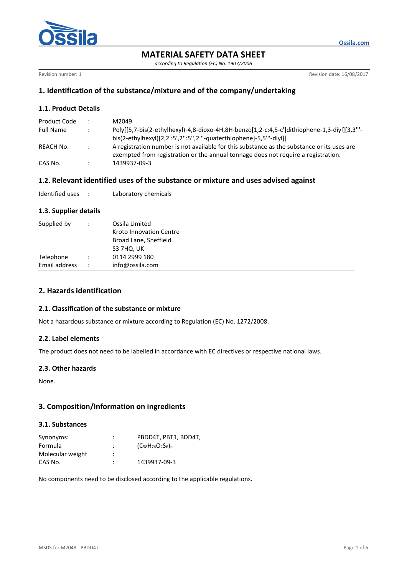

*according to Regulation (EC) No. 1907/2006*

Revision number: 1 **Revision date: 16/08/2017** 

**Ossila.com**

# **1. Identification of the substance/mixture and of the company/undertaking**

## **1.1. Product Details**

| Product Code     | $\bullet$     | M2049                                                                                       |
|------------------|---------------|---------------------------------------------------------------------------------------------|
| <b>Full Name</b> |               | Poly[[5,7-bis(2-ethylhexyl)-4,8-dioxo-4H,8H-benzo[1,2-c:4,5-c']dithiophene-1,3-diyl][3,3"'- |
|                  |               | bis(2-ethylhexyl)[2,2':5',2":5'',2'"-quaterthiophene]-5,5'"-diyl]]                          |
| REACH No.        | $\mathcal{L}$ | A registration number is not available for this substance as the substance or its uses are  |
|                  |               | exempted from registration or the annual tonnage does not require a registration.           |
| CAS No.          |               | 1439937-09-3                                                                                |

## **1.2. Relevant identified uses of the substance or mixture and uses advised against**

| Identified uses |  | Laboratory chemicals |
|-----------------|--|----------------------|
|-----------------|--|----------------------|

### **1.3. Supplier details**

| Supplied by   | $\ddot{\phantom{0}}$ | Ossila Limited<br><b>Kroto Innovation Centre</b><br>Broad Lane, Sheffield<br>S3 7HQ, UK |
|---------------|----------------------|-----------------------------------------------------------------------------------------|
| Telephone     | $\ddot{\phantom{0}}$ | 0114 2999 180                                                                           |
| Email address | $\ddot{\phantom{0}}$ | info@ossila.com                                                                         |

# **2. Hazards identification**

#### **2.1. Classification of the substance or mixture**

Not a hazardous substance or mixture according to Regulation (EC) No. 1272/2008.

#### **2.2. Label elements**

The product does not need to be labelled in accordance with EC directives or respective national laws.

#### **2.3. Other hazards**

None.

## **3. Composition/Information on ingredients**

### **3.1. Substances**

| Synonyms:        | ٠<br>٠ | PBDD4T, PBT1, BDD4T,           |
|------------------|--------|--------------------------------|
| Formula          | :      | $(C_{58}H_{74}O_{2}S_{6})_{n}$ |
| Molecular weight | ٠<br>٠ |                                |
| CAS No.          | ٠      | 1439937-09-3                   |

No components need to be disclosed according to the applicable regulations.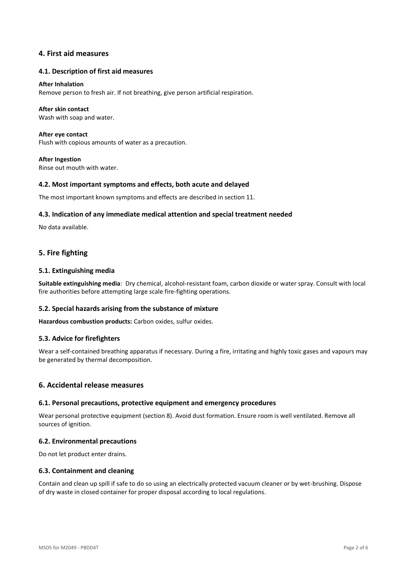## **4. First aid measures**

#### **4.1. Description of first aid measures**

#### **After Inhalation**

Remove person to fresh air. If not breathing, give person artificial respiration.

#### **After skin contact**

Wash with soap and water.

**After eye contact** Flush with copious amounts of water as a precaution.

**After Ingestion** Rinse out mouth with water.

#### **4.2. Most important symptoms and effects, both acute and delayed**

The most important known symptoms and effects are described in section 11.

#### **4.3. Indication of any immediate medical attention and special treatment needed**

No data available.

## **5. Fire fighting**

#### **5.1. Extinguishing media**

**Suitable extinguishing media**: Dry chemical, alcohol-resistant foam, carbon dioxide or water spray. Consult with local fire authorities before attempting large scale fire-fighting operations.

#### **5.2. Special hazards arising from the substance of mixture**

**Hazardous combustion products:** Carbon oxides, sulfur oxides.

#### **5.3. Advice for firefighters**

Wear a self-contained breathing apparatus if necessary. During a fire, irritating and highly toxic gases and vapours may be generated by thermal decomposition.

## **6. Accidental release measures**

#### **6.1. Personal precautions, protective equipment and emergency procedures**

Wear personal protective equipment (section 8). Avoid dust formation. Ensure room is well ventilated. Remove all sources of ignition.

#### **6.2. Environmental precautions**

Do not let product enter drains.

#### **6.3. Containment and cleaning**

Contain and clean up spill if safe to do so using an electrically protected vacuum cleaner or by wet-brushing. Dispose of dry waste in closed container for proper disposal according to local regulations.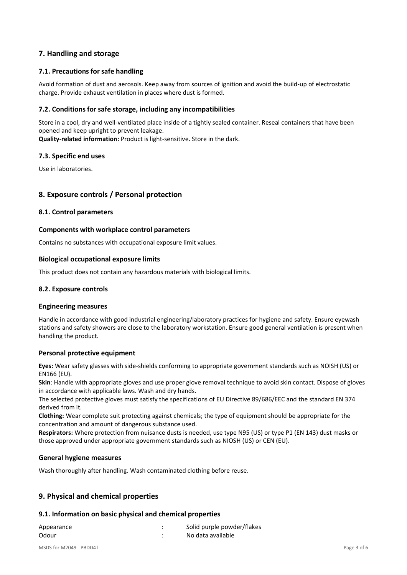# **7. Handling and storage**

### **7.1. Precautions for safe handling**

Avoid formation of dust and aerosols. Keep away from sources of ignition and avoid the build-up of electrostatic charge. Provide exhaust ventilation in places where dust is formed.

### **7.2. Conditions for safe storage, including any incompatibilities**

Store in a cool, dry and well-ventilated place inside of a tightly sealed container. Reseal containers that have been opened and keep upright to prevent leakage.

**Quality-related information:** Product is light-sensitive. Store in the dark.

#### **7.3. Specific end uses**

Use in laboratories.

## **8. Exposure controls / Personal protection**

#### **8.1. Control parameters**

### **Components with workplace control parameters**

Contains no substances with occupational exposure limit values.

#### **Biological occupational exposure limits**

This product does not contain any hazardous materials with biological limits.

#### **8.2. Exposure controls**

#### **Engineering measures**

Handle in accordance with good industrial engineering/laboratory practices for hygiene and safety. Ensure eyewash stations and safety showers are close to the laboratory workstation. Ensure good general ventilation is present when handling the product.

#### **Personal protective equipment**

**Eyes:** Wear safety glasses with side-shields conforming to appropriate government standards such as NOISH (US) or EN166 (EU).

**Skin**: Handle with appropriate gloves and use proper glove removal technique to avoid skin contact. Dispose of gloves in accordance with applicable laws. Wash and dry hands.

The selected protective gloves must satisfy the specifications of EU Directive 89/686/EEC and the standard EN 374 derived from it.

**Clothing:** Wear complete suit protecting against chemicals; the type of equipment should be appropriate for the concentration and amount of dangerous substance used.

**Respirators:** Where protection from nuisance dusts is needed, use type N95 (US) or type P1 (EN 143) dust masks or those approved under appropriate government standards such as NIOSH (US) or CEN (EU).

#### **General hygiene measures**

Wash thoroughly after handling. Wash contaminated clothing before reuse.

## **9. Physical and chemical properties**

#### **9.1. Information on basic physical and chemical properties**

| Appearance | Solid purple powder/flakes |
|------------|----------------------------|
| Odour      | No data available          |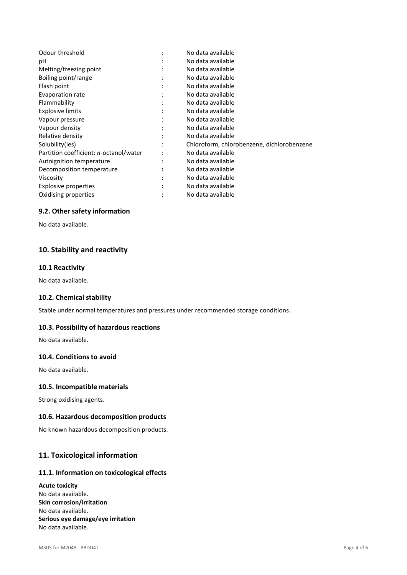|   | No data available                          |
|---|--------------------------------------------|
|   | No data available                          |
|   | No data available                          |
| ٠ | No data available                          |
|   | No data available                          |
|   | No data available                          |
|   | No data available                          |
|   | No data available                          |
|   | No data available                          |
|   | No data available                          |
|   | No data available                          |
|   | Chloroform, chlorobenzene, dichlorobenzene |
|   | No data available                          |
|   | No data available                          |
|   | No data available                          |
|   | No data available                          |
|   | No data available                          |
|   | No data available                          |
|   |                                            |

### **9.2. Other safety information**

No data available.

# **10. Stability and reactivity**

### **10.1 Reactivity**

No data available.

### **10.2. Chemical stability**

Stable under normal temperatures and pressures under recommended storage conditions.

### **10.3. Possibility of hazardous reactions**

No data available.

### **10.4. Conditions to avoid**

No data available.

### **10.5. Incompatible materials**

Strong oxidising agents.

### **10.6. Hazardous decomposition products**

No known hazardous decomposition products.

# **11. Toxicological information**

# **11.1. Information on toxicological effects**

**Acute toxicity** No data available. **Skin corrosion/irritation** No data available. **Serious eye damage/eye irritation** No data available.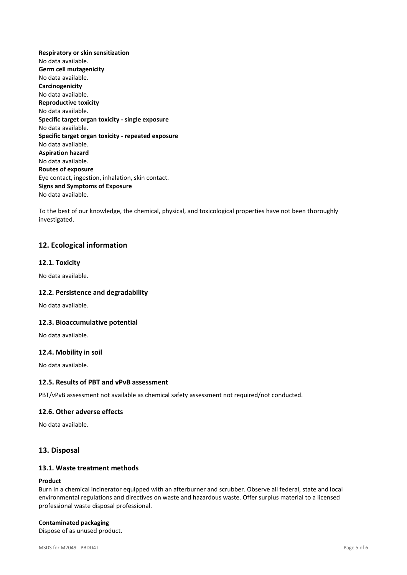**Respiratory or skin sensitization** No data available. **Germ cell mutagenicity** No data available. **Carcinogenicity** No data available. **Reproductive toxicity** No data available. **Specific target organ toxicity - single exposure** No data available. **Specific target organ toxicity - repeated exposure** No data available. **Aspiration hazard** No data available. **Routes of exposure** Eye contact, ingestion, inhalation, skin contact. **Signs and Symptoms of Exposure** No data available.

To the best of our knowledge, the chemical, physical, and toxicological properties have not been thoroughly investigated.

## **12. Ecological information**

#### **12.1. Toxicity**

No data available.

#### **12.2. Persistence and degradability**

No data available.

#### **12.3. Bioaccumulative potential**

No data available.

#### **12.4. Mobility in soil**

No data available.

#### **12.5. Results of PBT and vPvB assessment**

PBT/vPvB assessment not available as chemical safety assessment not required/not conducted.

#### **12.6. Other adverse effects**

No data available.

#### **13. Disposal**

## **13.1. Waste treatment methods**

#### **Product**

Burn in a chemical incinerator equipped with an afterburner and scrubber. Observe all federal, state and local environmental regulations and directives on waste and hazardous waste. Offer surplus material to a licensed professional waste disposal professional.

#### **Contaminated packaging**

Dispose of as unused product.